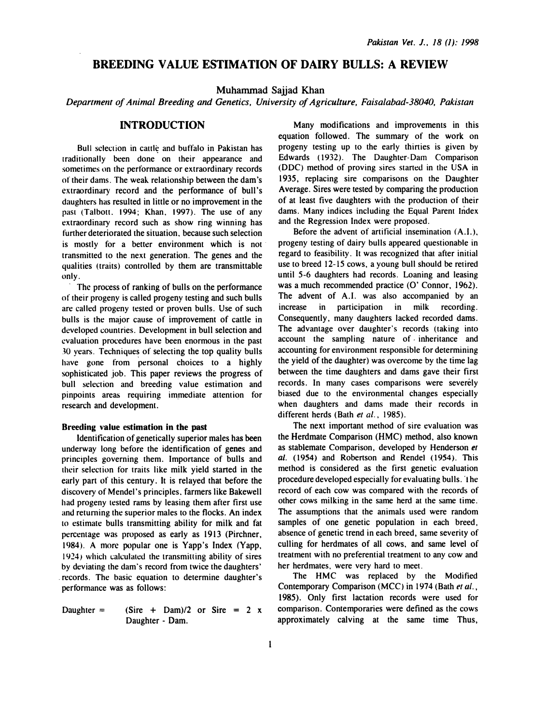# BREEDING VALUE ESTIMATION OF DAIRY BULLS: A REVIEW

Muhammad Sajjad Khan

Department of Animal Breeding and Genetics, University of Agriculture, Faisalabad-38040, Pakistan

# INTRODUCTION

Bull selection in cattle and buffalo in Pakistan has traditionally been done on their appearance and sometimes on the performance or extraordinary records of their dams. The weak relationship between the dam's extraordinary record and the performance of bull's daughters has resulted in little or no improvement in the past (Talbott. 1994; Khan, 1997). The use of any extraordinary record such as show ring winning has further deteriorated the situation, because such selection is mostly for a better environment which is not transmitted to the next generation. The genes and the qualities (traits) controlled by them are transmittable only.

The process of ranking of bulls on the performance of their progeny is called progeny testing and such bulls are called progeny tested or proven bulls. Use of such bulls is the major cause of improvement of cattle in developed countries. Development in bull selection and evaluation procedures have been enormous in the past 30 years. Techniques of selecting the top quality bulls have gone from personal choices to a highly sophisticated job. This paper reviews the progress of bull selection and breeding value estimation and pinpoints areas requiring immediate attention for research and development.

### Breeding value estimation in the past

Identification of genetically superior males has been underway long before the identification of genes and principles governing them. Importance of bulls and their selection for rraits like milk yield started in the early part of this century. It is relayed that before the discovery of Mendel's principles. farmers like Bakewell had progeny tested rams by leasing them after first use and returning the superior males to the flocks. An index to estimate bulls transmitting ability for milk and fat percentage was proposed as early as 1913 (Pirchner, 1984). A more popular one is Yapp's Index (Yapp, 1924) which calculated the transmitting ability of sires by deviating the dam's record from twice the daughters' . records. The basic equation to determine daughter's performance was as follows:

Daughter = 
$$
(Sire + \text{Dam})/2
$$
 or  $Sire = 2 x$ 

\nDaughter -  $Dam$ 

Many modifications and improvements in this equation followed. The summary of the work on progeny testing up to the early thirties is given by Edwards (1932). The Daughter-Dam Comparison (DOC) method of proving sires started in the USA in 1935, replacing sire comparisons on the Daughter Average. Sires were tested by comparing the production of at least five daughters with the production of their dams. Many indices including the Equal Parent Index and the Regression Index were proposed.

Before the advent of artificial insemination (A.I.), progeny testing of dairy bulls appeared questionable in regard to feasibility. It was recognized that after initial use to breed 12-15 cows, a young bull should be retired until 5-6 daughters had records. Loaning and leasing was a much recommended practice (0' Connor, 1962). The advent of A.l. was also accompanied by an increase in participation in milk recording. Consequently, many daughters lacked recorded dams. The advantage over daughter's records (taking into account the sampling nature of inheritance and accounting for environment responsible for determining the yield of the daughter) was overcome by the time lag between the time daughters and dams gave their first records. In many cases comparisons were severely biased due to the environmental changes especially when daughters and dams made their records in different herds (Bath et al., 1985).

The next important method of sire evaluation was the Herdmate Comparison (HMC) method, also known as stablemate Comparison, developed by Henderson et al. (1954) and Robertson and Rende) (1954). This method is considered as the first genetic evaluation procedure developed especially for evaluating bulls. 'the record of each cow was compared with the records of other cows milking in the same herd at the same time. The assumptions that the animals used were random samples of one genetic population in each breed, absence of genetic trend in each breed, same severity of culling for herdmates of all cows, and same level of treatment with no preferential treatment to any cow and her herdmates, were very hard to meet.

The HMC was replaced by the Modified Contemporary Comparison (MCC) in 1974 (Bath et al., 1985). Only first lactation records were used for comparison. Contemporaries were defined as the cows approximately calving at the same time Thus,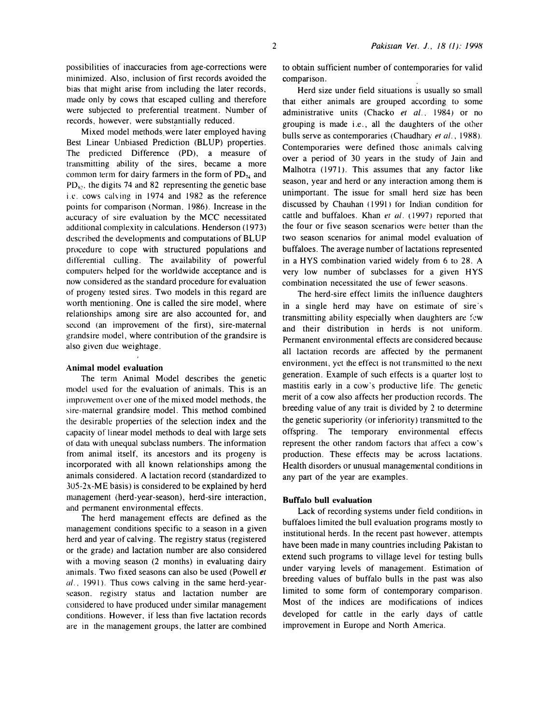possibilities of inaccuracies from age-corrections were minimized. Also, inclusion of first records avoided the bias that might arise from including the later records, made only by cows that escaped culling and therefore were subjected to preferential treatment. Number of records, however, were substantially reduced.

Mixed model methods. were later employed having Best Linear Unbiased Prediction (BLUP) properties. The predicted Difference (PD), a measure of transmitting ability of the sires, became a more common term for dairy farmers in the form of  $PD_{74}$  and  $PD<sub>s</sub>$ , the digits 74 and 82 representing the genetic base i.e. cows calving in 1974 and 1982 as the reference points for comparison ( Norman, 1986). Increase in the accuracy of sire evaluation by the MCC necessitated additional complexity in calculations. Henderson (1973) described the developments and computations of BLUP procedure to cope with structured populations and differential culling. The availability of powerful computers helped for the worldwide acceptance and is now considered as the standard procedure for evaluation of progeny tested sires. Two models in this regard are worth mentioning. One is called the sire model, where relationships among sire are also accounted for, and second (an improvement of the first), sire-maternal grands ire model, where contribution of the grands ire is also given due weightage.

#### Animal model evaluation

The term Animal Model describes the genetic model used for the evaluation of animals. This is an improvement over one of the mixed model methods, the sire-maternal grandsire model. This method combined the desirable properties of the selection index and the capacity of linear model methods to deal with large sets of data with unequal subclass numbers. The information from animal itself, its ancestors and its progeny is incorporated with all known relationships among the animals considered. A lactation record (standardized to 305-2x-ME basis) is considered to be explained by herd management (herd-year-season), herd-sire interaction, and permanent environmental effects.

The herd management effects are defined as the management conditions specific to a season in a given herd and year of calving. The registry status (registered or the grade) and lactation number are also considered with a moving season (2 months) in evaluating dairy animals. Two fixed seasons can also be used (Powell et  $al.$ , 1991). Thus cows calving in the same herd-yearseason. registry status and lactation number are considered to have produced under similar management conditions. However, if less than five lactation records are in the management groups, the latter are combined to obtain sufficient number of contemporaries for valid comparison.

Herd size under field situations is usually so small that either animals are grouped according to some administrative units (Chacko et al., 1984) or no grouping is made i.e., all the daughters of the other bulls serve as contemporaries (Chaudhary et al., 1988). Contemporaries were defined those animals calving over a period of 30 years in the study of Jain and Malhotra (1971). This assumes that any factor like season, year and herd or any interaction among them is unimportant. The issue for small herd size has been discussed by Chauhan ( 1991) for Indian condition for cattle and buffaloes. Khan  $et$  al. (1997) reported that the four or five season scenarios were better than the two season scenarios for animal model evaluation of buffaloes. The average number of lactations represented in a HYS combination varied widely from 6 to 28. A very low number of subclasses for a given HYS combination necessitated the use of fewer seasons.

The herd-sire effect limits the intluence daughters in a single herd may have on estimate of sire's transmitting ability especially when daughters are few and their distribution in herds is not uniform. Permanent environmental effects are considered because all lactation records are affected by the permanent environment, yet the effect is not transmitted to the next generation. Example of such effects is a quarter lo�t to mastitis early in a cow's productive life. The genetic merit of a cow also affects her production records. The breeding value of any trait is divided by 2 to determine the genetic superiority (or inferiority) transmitted to the offspring. The temporary environmental effects represent the other random factors that affect a cow's production. These effects may be across lactations. Health disorders or unusual managemental conditions in any part of the year are examples.

#### Buffalo bull evaluation

Lack of recording systems under field conditions in buffaloes limited the bull evaluation programs mostly to institutional herds. In the recent past however, attempts have been made in many countries including Pakistan to extend such programs to village level for testing bulls under varying levels of management. Estimation of breeding values of buffalo bulls in the past was also limited to some form of contemporary comparison. Most of the indices are modifications of indices developed for cattle in the early days of cattle improvement in Europe and North America.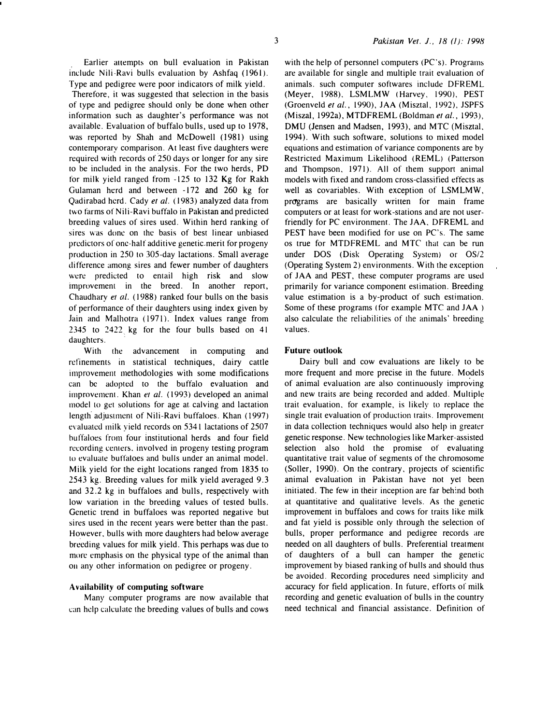Earlier attempts on bull evaluation in Pakistan include Nili-Ravi bulls evaluation by Ashfaq (1961). Type and pedigree were poor indicators of milk yield.

Therefore, it was suggested that selection in the basis of type and pedigree should only be done when other information such as daughter's performance was not available. Evaluation of buffalo bulls, used up to 1978, was reported by Shah and McDowell (1981) using contemporary comparison. At least five daughters were required with records of 250 days or longer for any sire ro be included in the analysis. For the two herds, PD for milk yield ranged from -125 to 132 Kg for Rakh Gulaman herd and between -172 and 260 kg for Qadirabad herd. Cady et al. ( 1983) analyzed data from two farms of Nili-Ravi buffalo in Pakistan and predicted breeding values of sires used. Within herd ranking of sires was done on the basis of best linear unbiased predictors of one-half additive genetic merit for progeny production in 250 to 305-day lactations. Small average difference among sires and fewer number of daughters were predicted to entail high risk and slow improvement in the breed. In another report, Chaudhary et al. (1988) ranked four bulls on the basis of performance of their daughters using index given by Jain and Malhotra (1971). Index values range from  $2345$  to  $2422$  kg for the four bulls based on 41 daughters.

With the advancement in computing and refinements in statistical techniques, dairy cattle improvement methodologies with some modifications can be adopted to the buffalo evaluation and improvement. Khan et al. (1993) developed an animal model to get solutions for age at. calving and lactation length adjustment of Nili-Ravi buffaloes. Khan (1997) evaluated milk yield records on 5341 lactations of 2507 buffaloes from four institutional herds and four field recording centers. involved in progeny testing program to evaluate buffaloes and bulls under an animal model. Milk yield for the eight locations ranged from 1835 to 2543 kg. Breeding values for milk yield averaged 9.3 and  $32.2$  kg in buffaloes and bulls, respectively with low variation in the breeding values of tested bulls. Genetic trend in buffaloes was reported negative but sires used in the recent years were better than the past. However, bulls with more daughters had below average breeding values for milk yield. This perhaps was due to more emphasis on the physical type of the animal than on any other information on pedigree or progeny.

#### Availability of computing software

Many computer programs are now available that can help calculate the breeding values of bulls· and cows with the help of personnel computers (PC's). Programs are available for single and multiple trait evaluation of animals. such computer softwares include DFREML (Meyer, 1988), LSMLMW (Harvey, 1990), PEST (Groenveld et al., 1990), JAA (Misztal, 1992), JSPFS (Miszal, 1992a), MTDFREML (Boldman et al., 1993), DMU (Jensen and Madsen, 1993), and MTC (Misztal. 1994). With such software, solutions to mixed model equations and estimation of variance components are by Restricted Maximum Likelihood (REML) (Patterson and Thompson, 1971). All of them support animal models with fixed and random cross-classified effects as well as covariables. With exception of LSMLMW, programs are basically written for main frame computers or at least for work-stations and are not userfriendly for PC environment. The JAA. DFREML and PEST have been modified for use on PC's. The same os true for MTDFREML and MTC that can be run under DOS (Disk Operating System) or OS/2 {Operating System 2) environments. With the exception of JAA and PEST, these computer programs are used primarily for variance component estimation. Breeding value estimation is a by-product of such estimation. Some of these programs (for example MTC and JAA ) also calculate the reliabilities of the animals' breeding values.

## Future outlook

Dairy bull and cow evaluations are likely to be more frequent and more precise in the future. Models of animal evaluation are also continuously impro�ing and new traits are being recorded and added. Multiple trait evaluation. for example, is likely to replace the single trait evaluation of production traits. Improvement in data collection techniques would also help in greater genetic response. New technologies like Marker-assisted selection also hold the promise of evaluating quantitative trait value of segments of the chromosome (Soller, 1990). On the contrary, projects of scientific animal evaluation in Pakistan have not yet been initiated. The few in their inception are far beh:nd both at quantitative and qualitative levels. As the genetic improvement in buffaloes and cows for traits like milk and fat yield is possible only through the selection of bulls, proper performance and pedigree records are needed on all daughters of bulls. Preferential treatment of daughters of a bull can hamper the genetic improvement by biased ranking of hulls and should thus be avoided. Recording procedures need simplicity and accuracy for field application. In future, efforts of milk recording and genetic evaluation of bulls in the country need technical and financial assistance. Definition of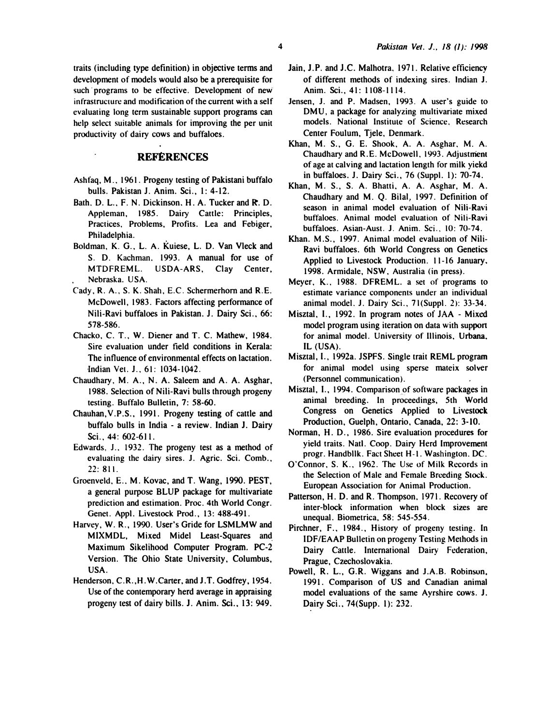traits (including type definition) in objective terms and development of models would also be a prerequisite for such programs to be effective. Development of new infrastructure and modification of the current with a self evaluating long term sustainable support programs can help select suitable animals for improving the per unit productivity of dairy cows and buffaloes.

# **REFERENCES**

- Ashfaq, M., 1961. Progeny testing of Pakistani buffalo bulls. Pakistan J. Anim. Sci., 1: 4-12.
- Bath. D. L., F. N. Dickinson, H. A. Tucker and R. D. Appleman, 1985. Dairy Cattle: Principles, Practices, Problems, Profits. Lea and Febiger, Philadelphia.
- Boldman, K. G., L. A. Kuiese, L. D. Van Vleck and S. D. Kachman. 1993. A manual for use of MTDFREML. USDA-ARS, Clay Center, Nebraska. USA.
- Cady, R. A., S. K. Shah, E.C. Schermerhorn and R.E. McDowell, 1983. Factors affecting performance of Nili-Ravi buffaloes in Pakistan. J. Dairy Sci.. 66: 578-586.
- Chacko, C. T., W. Diener and T. C. Mathew, 1984. Sire evaluation under field conditions in Kerala: The influence of environmental effects on lactation. -Indian Vel. J., 61: 1034-1042.
- Chaudhary, M. A., N. A. Saleem and A. A. Asghar, 1988. Selection of Nili-Ravi bulls through progeny testing. Buffalo Bulletin, 7: 58-60.
- Chauhan, V.P.S., 1991. Progeny testing of cattle and buffalo bulls in India - a review. Indian J. Dairy Sci., 44: 602-611.
- Edwards, J.. 1932. The progeny test as a method of evaluating the dairy sires. J. Agric. Sci. Comb., 22:811.
- Groenveld, E., M. Kovac, and T. Wang, 1990. PEST, a general purpose BLUP package for multivariate prediction and estimation. Proc. 4th World Congr. Genet. Appl. Livestock Prod., 13: 488-491.
- Harvey, W. R., 1990. User's Gride for LSMLMW and MIXMDL, Mixed Midel Least-Squares and. Maximum Sikelihood Computer Program. PC-2 Version. The Ohio State University, Columbus, USA.
- Henderson, C.R., H.W.Carter, and J.T. Godfrey, 1954. Use of the contemporary herd average in appraising progeny test of dairy bills. J. Anim. Sci.. 13: 949.
- Jain, J.P. and J.C. Malhotra, 1971. Relative efficiency of different methods of indexing sires. Indian J. Anim. Sci., 41: 1108-1114.
- Jensen, J. and P. Madsen, 1993. A user's guide to DMU, a package for analyzing multivariate mixed models. National Institute of Science, Research Center Foulum, Tjele, Denmark.
- Khan, M. S., G. E. Shook, A. A. Asghar. M. A. Chaudhary and R.E. McDowell, 1993. Adjustmem of age at calving and lactation length for milk yiekd in buffaloes. J. Dairy Sci., 76 (Suppl. 1): 70-74.
- Khan, M. S., S. A. Bhatti, A. A. Asghar, M. A. Chaudhary and M. Q. Bilal, 1997. Definition of season in animal model evaluation of Nili-Ravi buffaloes. Animal model evaluation of Nili-Ravi buffaloes. Asian-Aust. J. Anim. Sci., 10: 70-74.
- Khan. M.S., 1997. Animal model evaluation of Nili-Ravi buffaloes. 6th World Congress on Genetics Applied to Livestock Production. 11-16 January, 1998. Armidale, NSW, Australia (in press).
- Meyer, K., 1988. DFREML. a set of programs to estimate variance components under an individual animal model. J. Dairy Sci., 7 l(Suppl. 2): 33-34.
- Misztal, 1., 1992. In program notes of JAA Mixed model program using iteration on data with support for animal model. University of Illinois. Urbana. IL (USA).
- Misztal, 1., 1992a. JSPFS. Single trait REML program for animal model using sperse mateix solver (Personnel communication).
- Misztal, I., 1994. Comparison of software packages in animal breeding. In proceedings, 5th World Congress on Genetics Applied to Livestock Production, Guelph, Ontario. Canada, 22: 3-10.
- Norman, H. D., 1986. Sire evaluation procedures for yield traits. Natl. Coop. Dairy Herd Improvement progr. Handbllk. Fact Sheet H-1. Washington. DC.
- O'Connor, S. K., 1962. The Use of Milk Records in the Selection of Male and Female Breeding Stock. European Association for Animal Production.
- Patterson, H. D. and R. Thompson, 1971. Recovery of inter-block information when block sizes are unequal. Biometrica, 58: 545-554.
- Pirchner, F., 1984., History of progeny testing. In IDF/EAAP Bulletin on progeny Testing Methods in Dairy Cattle. International Dairy Federation, Prague, Czechoslovakia.
- Powell, R. L., G.R. Wiggans and J.A.B. Robinson. 1991. Comparison of US and Canadian animal model evaluations of the same Ayrshire cows. J. Dairy Sci.. 74(Supp. 1): 232.